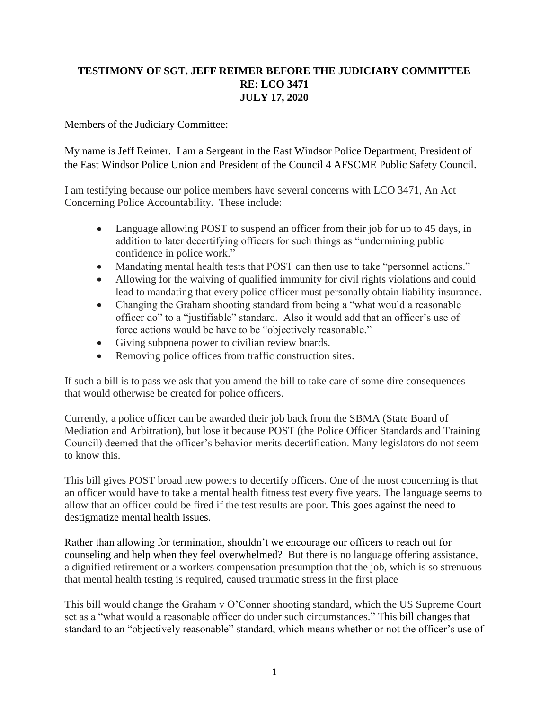## **TESTIMONY OF SGT. JEFF REIMER BEFORE THE JUDICIARY COMMITTEE RE: LCO 3471 JULY 17, 2020**

Members of the Judiciary Committee:

My name is Jeff Reimer. I am a Sergeant in the East Windsor Police Department, President of the East Windsor Police Union and President of the Council 4 AFSCME Public Safety Council.

I am testifying because our police members have several concerns with LCO 3471, An Act Concerning Police Accountability. These include:

- Language allowing POST to suspend an officer from their job for up to 45 days, in addition to later decertifying officers for such things as "undermining public confidence in police work."
- Mandating mental health tests that POST can then use to take "personnel actions."
- Allowing for the waiving of qualified immunity for civil rights violations and could lead to mandating that every police officer must personally obtain liability insurance.
- Changing the Graham shooting standard from being a "what would a reasonable" officer do" to a "justifiable" standard. Also it would add that an officer's use of force actions would be have to be "objectively reasonable."
- Giving subpoena power to civilian review boards.
- Removing police offices from traffic construction sites.

If such a bill is to pass we ask that you amend the bill to take care of some dire consequences that would otherwise be created for police officers.

Currently, a police officer can be awarded their job back from the SBMA (State Board of Mediation and Arbitration), but lose it because POST (the Police Officer Standards and Training Council) deemed that the officer's behavior merits decertification. Many legislators do not seem to know this.

This bill gives POST broad new powers to decertify officers. One of the most concerning is that an officer would have to take a mental health fitness test every five years. The language seems to allow that an officer could be fired if the test results are poor. This goes against the need to destigmatize mental health issues.

Rather than allowing for termination, shouldn't we encourage our officers to reach out for counseling and help when they feel overwhelmed? But there is no language offering assistance, a dignified retirement or a workers compensation presumption that the job, which is so strenuous that mental health testing is required, caused traumatic stress in the first place

This bill would change the Graham v O'Conner shooting standard, which the US Supreme Court set as a "what would a reasonable officer do under such circumstances." This bill changes that standard to an "objectively reasonable" standard, which means whether or not the officer's use of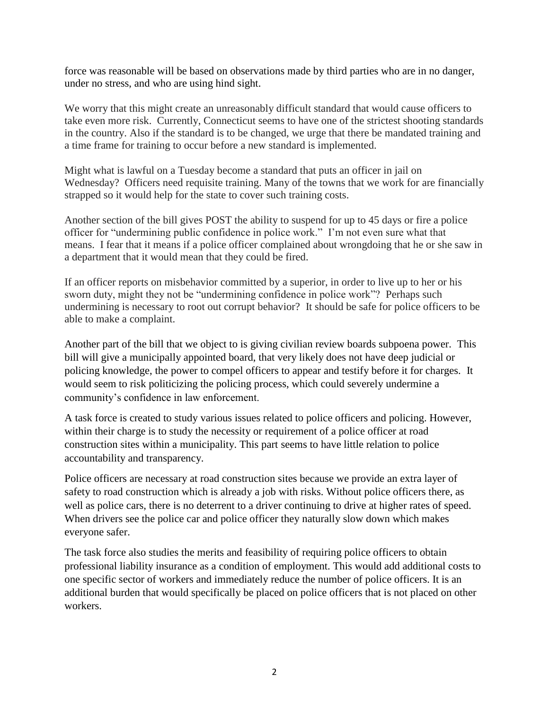force was reasonable will be based on observations made by third parties who are in no danger, under no stress, and who are using hind sight.

We worry that this might create an unreasonably difficult standard that would cause officers to take even more risk. Currently, Connecticut seems to have one of the strictest shooting standards in the country. Also if the standard is to be changed, we urge that there be mandated training and a time frame for training to occur before a new standard is implemented.

Might what is lawful on a Tuesday become a standard that puts an officer in jail on Wednesday? Officers need requisite training. Many of the towns that we work for are financially strapped so it would help for the state to cover such training costs.

Another section of the bill gives POST the ability to suspend for up to 45 days or fire a police officer for "undermining public confidence in police work." I'm not even sure what that means. I fear that it means if a police officer complained about wrongdoing that he or she saw in a department that it would mean that they could be fired.

If an officer reports on misbehavior committed by a superior, in order to live up to her or his sworn duty, might they not be "undermining confidence in police work"? Perhaps such undermining is necessary to root out corrupt behavior? It should be safe for police officers to be able to make a complaint.

Another part of the bill that we object to is giving civilian review boards subpoena power. This bill will give a municipally appointed board, that very likely does not have deep judicial or policing knowledge, the power to compel officers to appear and testify before it for charges. It would seem to risk politicizing the policing process, which could severely undermine a community's confidence in law enforcement.

A task force is created to study various issues related to police officers and policing. However, within their charge is to study the necessity or requirement of a police officer at road construction sites within a municipality. This part seems to have little relation to police accountability and transparency.

Police officers are necessary at road construction sites because we provide an extra layer of safety to road construction which is already a job with risks. Without police officers there, as well as police cars, there is no deterrent to a driver continuing to drive at higher rates of speed. When drivers see the police car and police officer they naturally slow down which makes everyone safer.

The task force also studies the merits and feasibility of requiring police officers to obtain professional liability insurance as a condition of employment. This would add additional costs to one specific sector of workers and immediately reduce the number of police officers. It is an additional burden that would specifically be placed on police officers that is not placed on other workers.